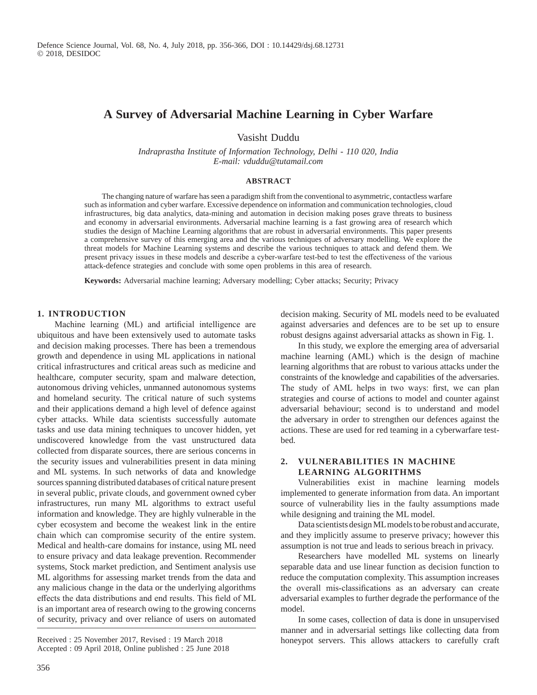# **A Survey of Adversarial Machine Learning in Cyber Warfare**

Vasisht Duddu

*Indraprastha Institute of Information Technology, Delhi - 110 020, India E-mail: vduddu@tutamail.com*

#### **ABSTRACT**

The changing nature of warfare has seen a paradigm shift from the conventional to asymmetric, contactless warfare such as information and cyber warfare. Excessive dependence on information and communication technologies, cloud infrastructures, big data analytics, data-mining and automation in decision making poses grave threats to business and economy in adversarial environments. Adversarial machine learning is a fast growing area of research which studies the design of Machine Learning algorithms that are robust in adversarial environments. This paper presents a comprehensive survey of this emerging area and the various techniques of adversary modelling. We explore the threat models for Machine Learning systems and describe the various techniques to attack and defend them. We present privacy issues in these models and describe a cyber-warfare test-bed to test the effectiveness of the various attack-defence strategies and conclude with some open problems in this area of research.

**Keywords:** Adversarial machine learning; Adversary modelling; Cyber attacks; Security; Privacy

### **1. INTRODUCTION**

Machine learning (ML) and artificial intelligence are ubiquitous and have been extensively used to automate tasks and decision making processes. There has been a tremendous growth and dependence in using ML applications in national critical infrastructures and critical areas such as medicine and healthcare, computer security, spam and malware detection, autonomous driving vehicles, unmanned autonomous systems and homeland security. The critical nature of such systems and their applications demand a high level of defence against cyber attacks. While data scientists successfully automate tasks and use data mining techniques to uncover hidden, yet undiscovered knowledge from the vast unstructured data collected from disparate sources, there are serious concerns in the security issues and vulnerabilities present in data mining and ML systems. In such networks of data and knowledge sources spanning distributed databases of critical nature present in several public, private clouds, and government owned cyber infrastructures, run many ML algorithms to extract useful information and knowledge. They are highly vulnerable in the cyber ecosystem and become the weakest link in the entire chain which can compromise security of the entire system. Medical and health-care domains for instance, using ML need to ensure privacy and data leakage prevention. Recommender systems, Stock market prediction, and Sentiment analysis use ML algorithms for assessing market trends from the data and any malicious change in the data or the underlying algorithms effects the data distributions and end results. This field of ML is an important area of research owing to the growing concerns of security, privacy and over reliance of users on automated

Accepted : 09 April 2018, Online published : 25 June 2018

decision making. Security of ML models need to be evaluated against adversaries and defences are to be set up to ensure robust designs against adversarial attacks as shown in Fig. 1.

In this study, we explore the emerging area of adversarial machine learning (AML) which is the design of machine learning algorithms that are robust to various attacks under the constraints of the knowledge and capabilities of the adversaries. The study of AML helps in two ways: first, we can plan strategies and course of actions to model and counter against adversarial behaviour; second is to understand and model the adversary in order to strengthen our defences against the actions. These are used for red teaming in a cyberwarfare testbed.

### **2. Vulnerabilities in Machine Learning algorithms**

Vulnerabilities exist in machine learning models implemented to generate information from data. An important source of vulnerability lies in the faulty assumptions made while designing and training the ML model.

Data scientists design ML models to be robust and accurate, and they implicitly assume to preserve privacy; however this assumption is not true and leads to serious breach in privacy.

Researchers have modelled ML systems on linearly separable data and use linear function as decision function to reduce the computation complexity. This assumption increases the overall mis-classifications as an adversary can create adversarial examples to further degrade the performance of the model.

In some cases, collection of data is done in unsupervised manner and in adversarial settings like collecting data from Received : 25 November 2017, Revised : 19 March 2018 honeypot servers. This allows attackers to carefully craft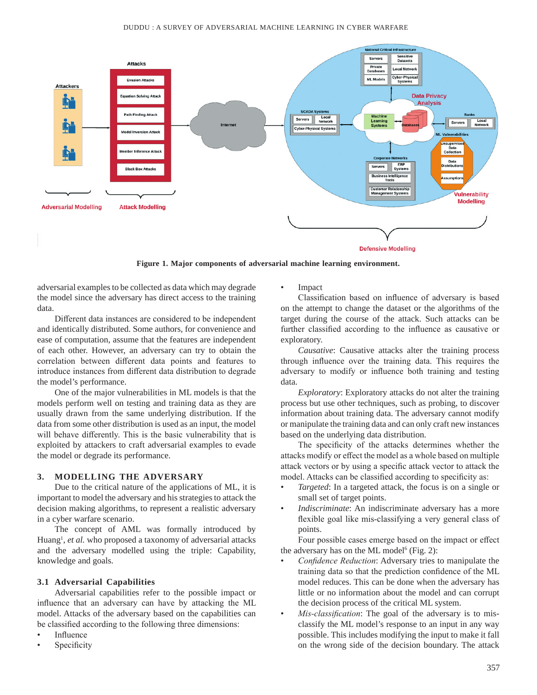

**Figure 1. Major components of adversarial machine learning environment.**

adversarial examples to be collected as data which may degrade the model since the adversary has direct access to the training data.

Different data instances are considered to be independent and identically distributed. Some authors, for convenience and ease of computation, assume that the features are independent of each other. However, an adversary can try to obtain the correlation between different data points and features to introduce instances from different data distribution to degrade the model's performance.

One of the major vulnerabilities in ML models is that the models perform well on testing and training data as they are usually drawn from the same underlying distribution. If the data from some other distribution is used as an input, the model will behave differently. This is the basic vulnerability that is exploited by attackers to craft adversarial examples to evade the model or degrade its performance.

### **3. Modelling the Adversary**

Due to the critical nature of the applications of ML, it is important to model the adversary and his strategies to attack the decision making algorithms, to represent a realistic adversary in a cyber warfare scenario.

The concept of AML was formally introduced by Huang<sup>1</sup>, et al. who proposed a taxonomy of adversarial attacks and the adversary modelled using the triple: Capability, knowledge and goals.

#### **3.1 Adversarial Capabilities**

Adversarial capabilities refer to the possible impact or influence that an adversary can have by attacking the ML model. Attacks of the adversary based on the capabilities can be classified according to the following three dimensions:

- **Influence**
- **Specificity**

**Impact** 

Classification based on influence of adversary is based on the attempt to change the dataset or the algorithms of the target during the course of the attack. Such attacks can be further classified according to the influence as causative or exploratory.

*Causative*: Causative attacks alter the training process through influence over the training data. This requires the adversary to modify or influence both training and testing data.

*Exploratory*: Exploratory attacks do not alter the training process but use other techniques, such as probing, to discover information about training data. The adversary cannot modify or manipulate the training data and can only craft new instances based on the underlying data distribution.

The specificity of the attacks determines whether the attacks modify or effect the model as a whole based on multiple attack vectors or by using a specific attack vector to attack the model. Attacks can be classified according to specificity as:

- *Targeted*: In a targeted attack, the focus is on a single or small set of target points.
- *Indiscriminate*: An indiscriminate adversary has a more flexible goal like mis-classifying a very general class of points.

Four possible cases emerge based on the impact or effect the adversary has on the ML model<sup>6</sup> (Fig. 2):

- *Confidence Reduction*: Adversary tries to manipulate the training data so that the prediction confidence of the ML model reduces. This can be done when the adversary has little or no information about the model and can corrupt the decision process of the critical ML system.
- *Mis-classification*: The goal of the adversary is to misclassify the ML model's response to an input in any way possible. This includes modifying the input to make it fall on the wrong side of the decision boundary. The attack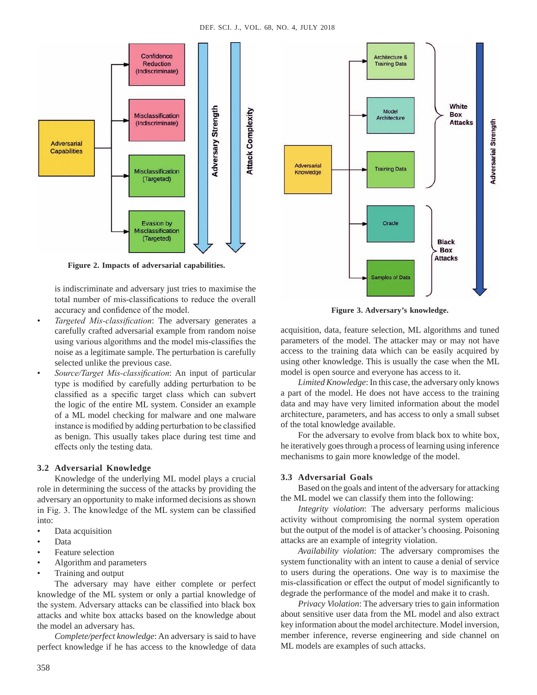

**Figure 2. Impacts of adversarial capabilities.**

is indiscriminate and adversary just tries to maximise the total number of mis-classifications to reduce the overall accuracy and confidence of the model.

- *Targeted Mis-classification*: The adversary generates a carefully crafted adversarial example from random noise using various algorithms and the model mis-classifies the noise as a legitimate sample. The perturbation is carefully selected unlike the previous case.
- *Source/Target Mis-classification*: An input of particular type is modified by carefully adding perturbation to be classified as a specific target class which can subvert the logic of the entire ML system. Consider an example of a ML model checking for malware and one malware instance is modified by adding perturbation to be classified as benign. This usually takes place during test time and effects only the testing data.

### **3.2 Adversarial Knowledge**

Knowledge of the underlying ML model plays a crucial role in determining the success of the attacks by providing the adversary an opportunity to make informed decisions as shown in Fig. 3. The knowledge of the ML system can be classified into:

- Data acquisition
- Data
- Feature selection
- Algorithm and parameters
- Training and output

The adversary may have either complete or perfect knowledge of the ML system or only a partial knowledge of the system. Adversary attacks can be classified into black box attacks and white box attacks based on the knowledge about the model an adversary has.

*Complete/perfect knowledge*: An adversary is said to have perfect knowledge if he has access to the knowledge of data



**Figure 3. Adversary's knowledge.**

acquisition, data, feature selection, ML algorithms and tuned parameters of the model. The attacker may or may not have access to the training data which can be easily acquired by using other knowledge. This is usually the case when the ML model is open source and everyone has access to it.

*Limited Knowledge*: In this case, the adversary only knows a part of the model. He does not have access to the training data and may have very limited information about the model architecture, parameters, and has access to only a small subset of the total knowledge available.

For the adversary to evolve from black box to white box, he iteratively goes through a process of learning using inference mechanisms to gain more knowledge of the model.

### **3.3 Adversarial Goals**

Based on the goals and intent of the adversary for attacking the ML model we can classify them into the following:

*Integrity violation*: The adversary performs malicious activity without compromising the normal system operation but the output of the model is of attacker's choosing. Poisoning attacks are an example of integrity violation.

*Availability violation*: The adversary compromises the system functionality with an intent to cause a denial of service to users during the operations. One way is to maximise the mis-classification or effect the output of model significantly to degrade the performance of the model and make it to crash.

*Privacy Violation*: The adversary tries to gain information about sensitive user data from the ML model and also extract key information about the model architecture. Model inversion, member inference, reverse engineering and side channel on ML models are examples of such attacks.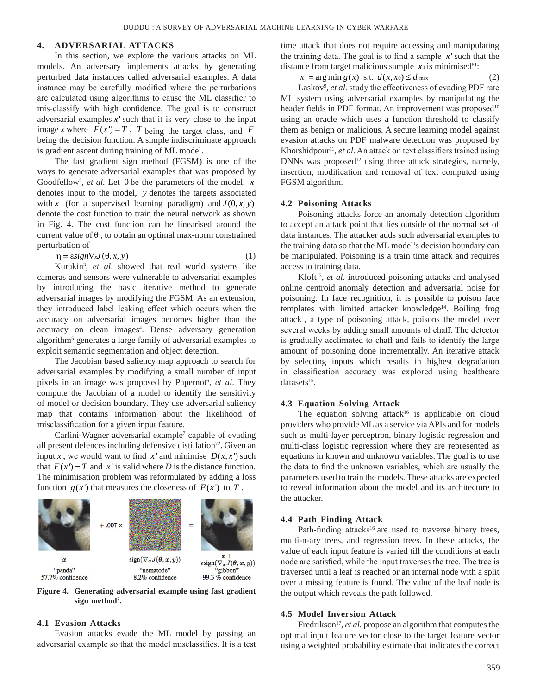#### **4. Adversarial Attacks**

In this section, we explore the various attacks on ML models. An adversary implements attacks by generating perturbed data instances called adversarial examples. A data instance may be carefully modified where the perturbations are calculated using algorithms to cause the ML classifier to mis-classify with high confidence. The goal is to construct adversarial examples  $x$  such that it is very close to the input image *x* where  $F(x) = T$ , *T* being the target class, and *F* being the decision function. A simple indiscriminate approach is gradient ascent during training of ML model.

The fast gradient sign method (FGSM) is one of the ways to generate adversarial examples that was proposed by Goodfellow2 *, et al.* Let θ be the parameters of the model, *x* denotes input to the model, *y* denotes the targets associated with *x* (for a supervised learning paradigm) and  $J(\theta, x, y)$ denote the cost function to train the neural network as shown in Fig. 4. The cost function can be linearised around the current value of  $\theta$ , to obtain an optimal max-norm constrained perturbation of

 $\eta = \varepsilon \sin \nabla x J(\theta, x, y)$  (1)

Kurakin3 , *et al*. showed that real world systems like cameras and sensors were vulnerable to adversarial examples by introducing the basic iterative method to generate adversarial images by modifying the FGSM. As an extension, they introduced label leaking effect which occurs when the accuracy on adversarial images becomes higher than the accuracy on clean images<sup>4</sup>. Dense adversary generation algorithm<sup>5</sup> generates a large family of adversarial examples to exploit semantic segmentation and object detection.

The Jacobian based saliency map approach to search for adversarial examples by modifying a small number of input pixels in an image was proposed by Papernot<sup>6</sup>, et al. They compute the Jacobian of a model to identify the sensitivity of model or decision boundary. They use adversarial saliency map that contains information about the likelihood of misclassification for a given input feature.

Carlini-Wagner adversarial example<sup>7</sup> capable of evading all present defences including defensive distillation<sup>72</sup>. Given an input *x*, we would want to find *x* and minimise  $D(x, x')$  such that  $F(x') = T$  and x' is valid where *D* is the distance function. The minimisation problem was reformulated by adding a loss function  $g(x')$  that measures the closeness of  $F(x')$  to  $T$ .



**Figure 4. Generating adversarial example using fast gradient sign method2 .**

#### **4.1 Evasion Attacks**

Evasion attacks evade the ML model by passing an adversarial example so that the model misclassifies. It is a test time attack that does not require accessing and manipulating the training data. The goal is to find a sample  $x'$  such that the distance from target malicious sample  $x_0$  is minimised<sup>81</sup>:

$$
x' = \arg\min g(x) \text{ s.t. } d(x, x_0) \le d_{\text{max}} \tag{2}
$$

Laskov<sup>9</sup>, et al. study the effectiveness of evading PDF rate ML system using adversarial examples by manipulating the header fields in PDF format. An improvement was proposed<sup>10</sup> using an oracle which uses a function threshold to classify them as benign or malicious. A secure learning model against evasion attacks on PDF malware detection was proposed by Khorshidpour<sup>11</sup>, *et al*. An attack on text classifiers trained using DNNs was proposed<sup>12</sup> using three attack strategies, namely, insertion, modification and removal of text computed using FGSM algorithm.

#### **4.2 Poisoning Attacks**

Poisoning attacks force an anomaly detection algorithm to accept an attack point that lies outside of the normal set of data instances. The attacker adds such adversarial examples to the training data so that the ML model's decision boundary can be manipulated. Poisoning is a train time attack and requires access to training data.

Kloft<sup>13</sup>, *et al.* introduced poisoning attacks and analysed online centroid anomaly detection and adversarial noise for poisoning. In face recognition, it is possible to poison face templates with limited attacker knowledge<sup>14</sup>. Boiling frog attack<sup>1</sup>, a type of poisoning attack, poisons the model over several weeks by adding small amounts of chaff. The detector is gradually acclimated to chaff and fails to identify the large amount of poisoning done incrementally. An iterative attack by selecting inputs which results in highest degradation in classification accuracy was explored using healthcare datasets $15$ .

### **4.3 Equation Solving Attack**

The equation solving attack<sup>16</sup> is applicable on cloud providers who provide ML as a service via APIs and for models such as multi-layer perceptron, binary logistic regression and multi-class logistic regression where they are represented as equations in known and unknown variables. The goal is to use the data to find the unknown variables, which are usually the parameters used to train the models. These attacks are expected to reveal information about the model and its architecture to the attacker.

#### **4.4 Path Finding Attack**

Path-finding attacks<sup>16</sup> are used to traverse binary trees, multi-n-ary trees, and regression trees. In these attacks, the value of each input feature is varied till the conditions at each node are satisfied, while the input traverses the tree. The tree is traversed until a leaf is reached or an internal node with a split over a missing feature is found. The value of the leaf node is the output which reveals the path followed.

#### **4.5 Model Inversion Attack**

Fredrikson<sup>17</sup>, *et al.* propose an algorithm that computes the optimal input feature vector close to the target feature vector using a weighted probability estimate that indicates the correct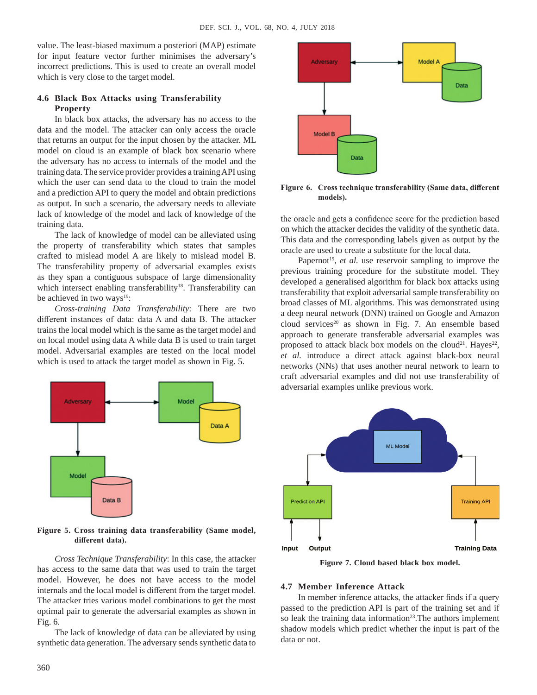value. The least-biased maximum a posteriori (MAP) estimate for input feature vector further minimises the adversary's incorrect predictions. This is used to create an overall model which is very close to the target model.

## **4.6 Black Box Attacks using Transferability Property**

In black box attacks, the adversary has no access to the data and the model. The attacker can only access the oracle that returns an output for the input chosen by the attacker. ML model on cloud is an example of black box scenario where the adversary has no access to internals of the model and the training data. The service provider provides a training API using which the user can send data to the cloud to train the model and a prediction API to query the model and obtain predictions as output. In such a scenario, the adversary needs to alleviate lack of knowledge of the model and lack of knowledge of the training data.

The lack of knowledge of model can be alleviated using the property of transferability which states that samples crafted to mislead model A are likely to mislead model B. The transferability property of adversarial examples exists as they span a contiguous subspace of large dimensionality which intersect enabling transferability<sup>18</sup>. Transferability can be achieved in two ways<sup>19</sup>:

*Cross-training Data Transferability*: There are two different instances of data: data A and data B. The attacker trains the local model which is the same as the target model and on local model using data A while data B is used to train target model. Adversarial examples are tested on the local model which is used to attack the target model as shown in Fig. 5.



**Figure 5. Cross training data transferability (Same model, different data).**

**Figure 7. Cloud based black box model.** *Cross Technique Transferability*: In this case, the attacker has access to the same data that was used to train the target model. However, he does not have access to the model internals and the local model is different from the target model. The attacker tries various model combinations to get the most optimal pair to generate the adversarial examples as shown in Fig. 6.

The lack of knowledge of data can be alleviated by using synthetic data generation. The adversary sends synthetic data to



**Figure 6. Cross technique transferability (Same data, different models).**

the oracle and gets a confidence score for the prediction based on which the attacker decides the validity of the synthetic data. This data and the corresponding labels given as output by the oracle are used to create a substitute for the local data.

Papernot<sup>19</sup>, *et al.* use reservoir sampling to improve the previous training procedure for the substitute model. They developed a generalised algorithm for black box attacks using transferability that exploit adversarial sample transferability on broad classes of ML algorithms. This was demonstrated using a deep neural network (DNN) trained on Google and Amazon cloud services<sup>20</sup> as shown in Fig. 7. An ensemble based approach to generate transferable adversarial examples was proposed to attack black box models on the cloud<sup>21</sup>. Hayes<sup>22</sup>, *et al.* introduce a direct attack against black-box neural networks (NNs) that uses another neural network to learn to craft adversarial examples and did not use transferability of adversarial examples unlike previous work.



#### **4.7 Member Inference Attack**

In member inference attacks, the attacker finds if a query passed to the prediction API is part of the training set and if so leak the training data information<sup>23</sup>. The authors implement shadow models which predict whether the input is part of the data or not.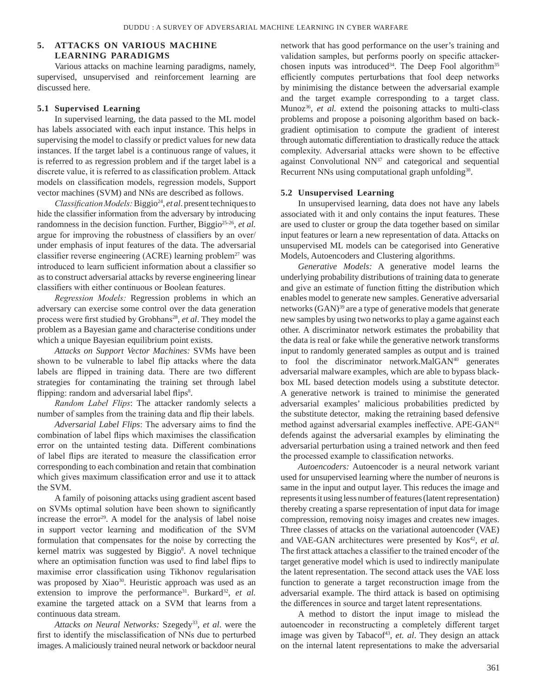# **5. Attacks on Various Machine Learning Paradigms**

Various attacks on machine learning paradigms, namely, supervised, unsupervised and reinforcement learning are discussed here.

#### **5.1 Supervised Learning**

In supervised learning, the data passed to the ML model has labels associated with each input instance. This helps in supervising the model to classify or predict values for new data instances. If the target label is a continuous range of values, it is referred to as regression problem and if the target label is a discrete value, it is referred to as classification problem. Attack models on classification models, regression models, Support vector machines (SVM) and NNs are described as follows.

*Classification Models:* Biggio<sup>24</sup>, *et al.* present techniques to hide the classifier information from the adversary by introducing randomness in the decision function. Further, Biggio<sup>25-26</sup>, *et al.* argue for improving the robustness of classifiers by an over/ under emphasis of input features of the data. The adversarial classifier reverse engineering (ACRE) learning problem<sup>27</sup> was introduced to learn sufficient information about a classifier so as to construct adversarial attacks by reverse engineering linear classifiers with either continuous or Boolean features.

*Regression Models:* Regression problems in which an adversary can exercise some control over the data generation process were first studied by Grobhans<sup>28</sup>, *et al*. They model the problem as a Bayesian game and characterise conditions under which a unique Bayesian equilibrium point exists.

*Attacks on Support Vector Machines:* SVMs have been shown to be vulnerable to label flip attacks where the data labels are flipped in training data. There are two different strategies for contaminating the training set through label flipping: random and adversarial label flips<sup>8</sup>.

*Random Label Flips*: The attacker randomly selects a number of samples from the training data and flip their labels.

*Adversarial Label Flips*: The adversary aims to find the combination of label flips which maximises the classification error on the untainted testing data. Different combinations of label flips are iterated to measure the classification error corresponding to each combination and retain that combination which gives maximum classification error and use it to attack the SVM.

A family of poisoning attacks using gradient ascent based on SVMs optimal solution have been shown to significantly increase the error $29$ . A model for the analysis of label noise in support vector learning and modification of the SVM formulation that compensates for the noise by correcting the kernel matrix was suggested by Biggio<sup>8</sup>. A novel technique where an optimisation function was used to find label flips to maximise error classification using Tikhonov regularisation was proposed by Xiao<sup>30</sup>. Heuristic approach was used as an extension to improve the performance<sup>31</sup>. Burkard<sup>32</sup>, et al. examine the targeted attack on a SVM that learns from a continuous data stream.

*Attacks on Neural Networks:* Szegedy33, *et al*. were the first to identify the misclassification of NNs due to perturbed images. A maliciously trained neural network or backdoor neural

network that has good performance on the user's training and validation samples, but performs poorly on specific attackerchosen inputs was introduced<sup>34</sup>. The Deep Fool algorithm<sup>35</sup> efficiently computes perturbations that fool deep networks by minimising the distance between the adversarial example and the target example corresponding to a target class. Munoz<sup>36</sup>, *et al.* extend the poisoning attacks to multi-class problems and propose a poisoning algorithm based on backgradient optimisation to compute the gradient of interest through automatic differentiation to drastically reduce the attack complexity. Adversarial attacks were shown to be effective against Convolutional  $NN^{37}$  and categorical and sequential Recurrent NNs using computational graph unfolding<sup>38</sup>.

#### **5.2 Unsupervised Learning**

In unsupervised learning, data does not have any labels associated with it and only contains the input features. These are used to cluster or group the data together based on similar input features or learn a new representation of data. Attacks on unsupervised ML models can be categorised into Generative Models, Autoencoders and Clustering algorithms.

*Generative Models:* A generative model learns the underlying probability distributions of training data to generate and give an estimate of function fitting the distribution which enables model to generate new samples. Generative adversarial networks (GAN)<sup>39</sup> are a type of generative models that generate new samples by using two networks to play a game against each other. A discriminator network estimates the probability that the data is real or fake while the generative network transforms input to randomly generated samples as output and is trained to fool the discriminator network.MalGAN<sup>40</sup> generates adversarial malware examples, which are able to bypass blackbox ML based detection models using a substitute detector. A generative network is trained to minimise the generated adversarial examples' malicious probabilities predicted by the substitute detector, making the retraining based defensive method against adversarial examples ineffective. APE-GAN<sup>41</sup> defends against the adversarial examples by eliminating the adversarial perturbation using a trained network and then feed the processed example to classification networks.

*Autoencoders:* Autoencoder is a neural network variant used for unsupervised learning where the number of neurons is same in the input and output layer. This reduces the image and represents it using less number of features (latent representation) thereby creating a sparse representation of input data for image compression, removing noisy images and creates new images. Three classes of attacks on the variational autoencoder (VAE) and VAE-GAN architectures were presented by Kos<sup>42</sup>, et al. The first attack attaches a classifier to the trained encoder of the target generative model which is used to indirectly manipulate the latent representation. The second attack uses the VAE loss function to generate a target reconstruction image from the adversarial example. The third attack is based on optimising the differences in source and target latent representations.

A method to distort the input image to mislead the autoencoder in reconstructing a completely different target image was given by Tabacof<sup>43</sup>, et. al. They design an attack on the internal latent representations to make the adversarial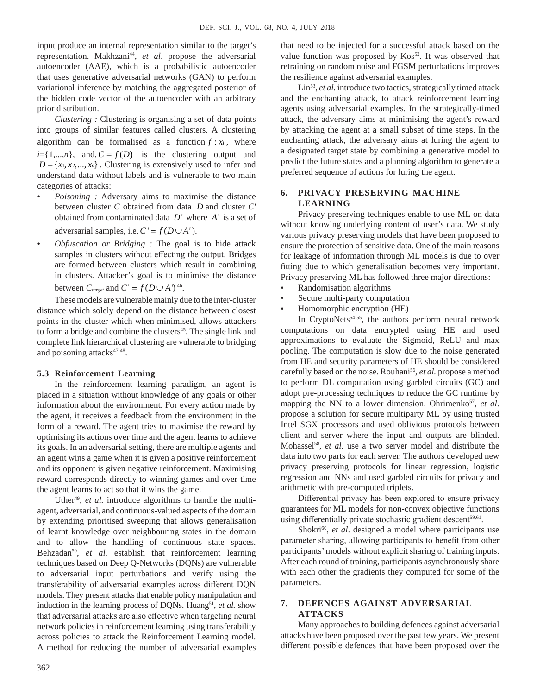input produce an internal representation similar to the target's representation. Makhzani<sup>44</sup>, et al. propose the adversarial autoencoder (AAE), which is a probabilistic autoencoder that uses generative adversarial networks (GAN) to perform variational inference by matching the aggregated posterior of the hidden code vector of the autoencoder with an arbitrary prior distribution.

*Clustering :* Clustering is organising a set of data points into groups of similar features called clusters. A clustering algorithm can be formalised as a function  $f : x_i$ , where  $i = \{1,...,n\}$ , and,  $C = f(D)$  is the clustering output and  $D = \{x_1, x_2, ..., x_n\}$ . Clustering is extensively used to infer and understand data without labels and is vulnerable to two main categories of attacks:

- *Poisoning :* Adversary aims to maximise the distance between cluster *C* obtained from data *D* and cluster *C'* obtained from contaminated data *D*' where *A*' is a set of adversarial samples, i.e,  $C' = f(D \cup A')$ .
- *Obfuscation or Bridging :* The goal is to hide attack samples in clusters without effecting the output. Bridges are formed between clusters which result in combining in clusters. Attacker's goal is to minimise the distance between  $C_{\text{target}}$  and  $C' = f(D \cup A')^{46}$ .

These models are vulnerable mainly due to the inter-cluster distance which solely depend on the distance between closest points in the cluster which when minimised, allows attackers to form a bridge and combine the clusters<sup>45</sup>. The single link and complete link hierarchical clustering are vulnerable to bridging and poisoning attacks<sup>47-48</sup>.

#### **5.3 Reinforcement Learning**

In the reinforcement learning paradigm, an agent is placed in a situation without knowledge of any goals or other information about the environment. For every action made by the agent, it receives a feedback from the environment in the form of a reward. The agent tries to maximise the reward by optimising its actions over time and the agent learns to achieve its goals. In an adversarial setting, there are multiple agents and an agent wins a game when it is given a positive reinforcement and its opponent is given negative reinforcement. Maximising reward corresponds directly to winning games and over time the agent learns to act so that it wins the game.

Uther<sup>49</sup>, *et al.* introduce algorithms to handle the multiagent, adversarial, and continuous-valued aspects of the domain by extending prioritised sweeping that allows generalisation of learnt knowledge over neighbouring states in the domain and to allow the handling of continuous state spaces. Behzadan<sup>50</sup>, et al. establish that reinforcement learning techniques based on Deep Q-Networks (DQNs) are vulnerable to adversarial input perturbations and verify using the transferability of adversarial examples across different DQN models. They present attacks that enable policy manipulation and induction in the learning process of DQNs. Huang<sup>51</sup>, *et al.* show that adversarial attacks are also effective when targeting neural network policies in reinforcement learning using transferability across policies to attack the Reinforcement Learning model. A method for reducing the number of adversarial examples that need to be injected for a successful attack based on the value function was proposed by Kos<sup>52</sup>. It was observed that retraining on random noise and FGSM perturbations improves the resilience against adversarial examples.

Lin<sup>53</sup>, *et al.* introduce two tactics, strategically timed attack and the enchanting attack, to attack reinforcement learning agents using adversarial examples. In the strategically-timed attack, the adversary aims at minimising the agent's reward by attacking the agent at a small subset of time steps. In the enchanting attack, the adversary aims at luring the agent to a designated target state by combining a generative model to predict the future states and a planning algorithm to generate a preferred sequence of actions for luring the agent.

# **6. Privacy Preserving Machine Learning**

Privacy preserving techniques enable to use ML on data without knowing underlying content of user's data. We study various privacy preserving models that have been proposed to ensure the protection of sensitive data. One of the main reasons for leakage of information through ML models is due to over fitting due to which generalisation becomes very important. Privacy preserving ML has followed three major directions:

- Randomisation algorithms
- Secure multi-party computation
- Homomorphic encryption (HE)

In CryptoNets<sup>54-55</sup>, the authors perform neural network computations on data encrypted using HE and used approximations to evaluate the Sigmoid, ReLU and max pooling. The computation is slow due to the noise generated from HE and security parameters of HE should be considered carefully based on the noise. Rouhani<sup>56</sup>, et al. propose a method to perform DL computation using garbled circuits (GC) and adopt pre-processing techniques to reduce the GC runtime by mapping the NN to a lower dimension. Ohrimenko<sup>57</sup>, et al. propose a solution for secure multiparty ML by using trusted Intel SGX processors and used oblivious protocols between client and server where the input and outputs are blinded. Mohassel58, *et al.* use a two server model and distribute the data into two parts for each server. The authors developed new privacy preserving protocols for linear regression, logistic regression and NNs and used garbled circuits for privacy and arithmetic with pre-computed triplets.

Differential privacy has been explored to ensure privacy guarantees for ML models for non-convex objective functions using differentially private stochastic gradient descent<sup>59,61</sup>.

Shokri<sup>60</sup>, et al. designed a model where participants use parameter sharing, allowing participants to benefit from other participants' models without explicit sharing of training inputs. After each round of training, participants asynchronously share with each other the gradients they computed for some of the parameters.

### **7. Defences against Adversarial Attacks**

Many approaches to building defences against adversarial attacks have been proposed over the past few years. We present different possible defences that have been proposed over the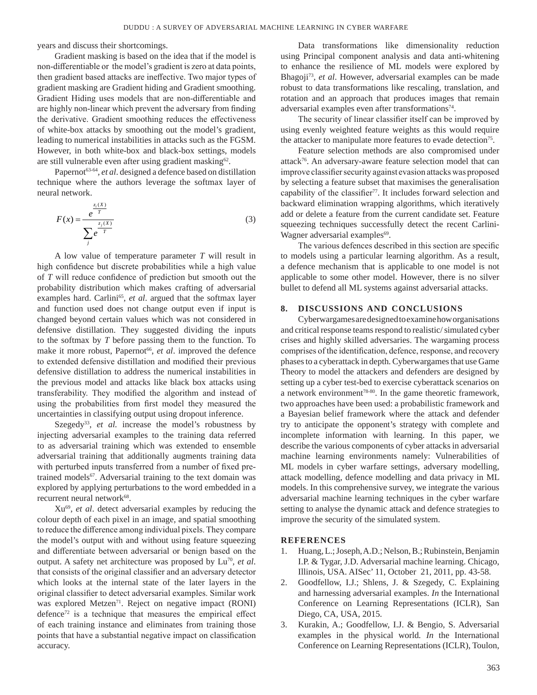years and discuss their shortcomings.

Gradient masking is based on the idea that if the model is non-differentiable or the model's gradient is zero at data points, then gradient based attacks are ineffective. Two major types of gradient masking are Gradient hiding and Gradient smoothing. Gradient Hiding uses models that are non-differentiable and are highly non-linear which prevent the adversary from finding the derivative. Gradient smoothing reduces the effectiveness of white-box attacks by smoothing out the model's gradient, leading to numerical instabilities in attacks such as the FGSM. However, in both white-box and black-box settings, models are still vulnerable even after using gradient masking<sup>62</sup>.

Papernot<sup>63-64</sup>, et al. designed a defence based on distillation technique where the authors leverage the softmax layer of neural network.

$$
F(x) = \frac{e^{\frac{z_i(X)}{T}}}{\sum_{j} e^{\frac{z_j(X)}{T}}} \tag{3}
$$

A low value of temperature parameter *T* will result in high confidence but discrete probabilities while a high value of *T* will reduce confidence of prediction but smooth out the probability distribution which makes crafting of adversarial examples hard. Carlini<sup>65</sup>, et al. argued that the softmax layer and function used does not change output even if input is changed beyond certain values which was not considered in defensive distillation. They suggested dividing the inputs to the softmax by *T* before passing them to the function. To make it more robust, Papernot<sup>66</sup>, et al. improved the defence to extended defensive distillation and modified their previous defensive distillation to address the numerical instabilities in the previous model and attacks like black box attacks using transferability. They modified the algorithm and instead of using the probabilities from first model they measured the uncertainties in classifying output using dropout inference.

Szegedy<sup>33</sup>, et al. increase the model's robustness by injecting adversarial examples to the training data referred to as adversarial training which was extended to ensemble adversarial training that additionally augments training data with perturbed inputs transferred from a number of fixed pretrained models<sup>67</sup>. Adversarial training to the text domain was explored by applying perturbations to the word embedded in a recurrent neural network<sup>68</sup>.

Xu69, *et al*. detect adversarial examples by reducing the colour depth of each pixel in an image, and spatial smoothing to reduce the difference among individual pixels. They compare the model's output with and without using feature squeezing and differentiate between adversarial or benign based on the output. A safety net architecture was proposed by Lu<sup>70</sup>, et al. that consists of the original classifier and an adversary detector which looks at the internal state of the later layers in the original classifier to detect adversarial examples. Similar work was explored Metzen<sup>71</sup>. Reject on negative impact (RONI) defence<sup>72</sup> is a technique that measures the empirical effect of each training instance and eliminates from training those points that have a substantial negative impact on classification accuracy.

Data transformations like dimensionality reduction using Principal component analysis and data anti-whitening to enhance the resilience of ML models were explored by Bhagoji73*, et al*. However, adversarial examples can be made robust to data transformations like rescaling, translation, and rotation and an approach that produces images that remain adversarial examples even after transformations<sup>74</sup>.

The security of linear classifier itself can be improved by using evenly weighted feature weights as this would require the attacker to manipulate more features to evade detection<sup>75</sup>.

Feature selection methods are also compromised under attack76. An adversary-aware feature selection model that can improve classifier security against evasion attacks was proposed by selecting a feature subset that maximises the generalisation capability of the classifier<sup>77</sup>. It includes forward selection and backward elimination wrapping algorithms, which iteratively add or delete a feature from the current candidate set. Feature squeezing techniques successfully detect the recent Carlini-Wagner adversarial examples<sup>69</sup>.

The various defences described in this section are specific to models using a particular learning algorithm. As a result, a defence mechanism that is applicable to one model is not applicable to some other model. However, there is no silver bullet to defend all ML systems against adversarial attacks.

### **8. Discussions and Conclusions**

Cyberwargames are designed to examine how organisations and critical response teams respond to realistic/ simulated cyber crises and highly skilled adversaries. The wargaming process comprises of the identification, defence, response, and recovery phases to a cyberattack in depth. Cyberwargames that use Game Theory to model the attackers and defenders are designed by setting up a cyber test-bed to exercise cyberattack scenarios on a network environment<sup>78-80</sup>. In the game theoretic framework, two approaches have been used: a probabilistic framework and a Bayesian belief framework where the attack and defender try to anticipate the opponent's strategy with complete and incomplete information with learning. In this paper, we describe the various components of cyber attacks in adversarial machine learning environments namely: Vulnerabilities of ML models in cyber warfare settings, adversary modelling, attack modelling, defence modelling and data privacy in ML models. In this comprehensive survey, we integrate the various adversarial machine learning techniques in the cyber warfare setting to analyse the dynamic attack and defence strategies to improve the security of the simulated system.

#### **References**

- 1. Huang, L.; Joseph, A.D.; Nelson, B.; Rubinstein, Benjamin I.P. & Tygar, J.D. Adversarial machine learning. Chicago, Illinois, USA. AISec' 11, October 21, 2011, pp. 43-58.
- 2. Goodfellow, I.J.; Shlens, J. & Szegedy, C. Explaining and harnessing adversarial examples. *In* the International Conference on Learning Representations (ICLR), San Diego, CA, USA, 2015.
- 3. Kurakin, A.; Goodfellow, I.J. & Bengio, S. Adversarial examples in the physical world*. In* the International Conference on Learning Representations (ICLR), Toulon,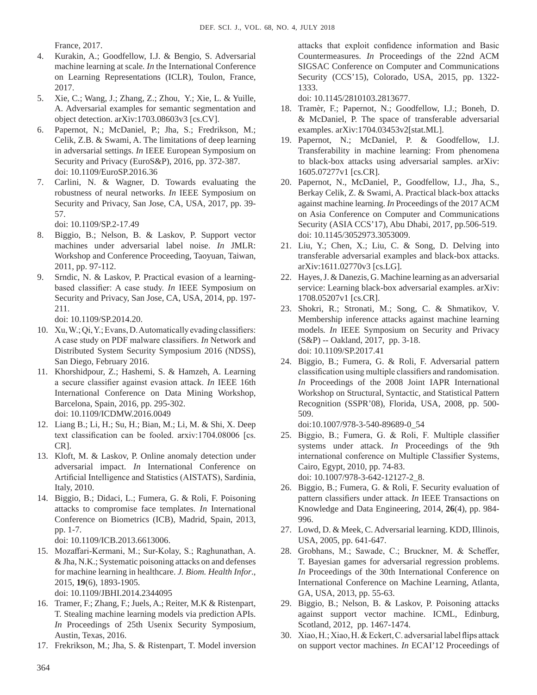France, 2017.

- 4. Kurakin, A.; Goodfellow, I.J. & Bengio, S. Adversarial machine learning at scale*. In* the International Conference on Learning Representations (ICLR), Toulon, France, 2017.
- 5. Xie, C.; Wang, J.; Zhang, Z.; Zhou, Y.; Xie, L. & Yuille, A. Adversarial examples for semantic segmentation and object detection. arXiv:1703.08603v3 [cs.CV].
- 6. Papernot, N.; McDaniel, P.; Jha, S.; Fredrikson, M.; Celik, Z.B. & Swami, A. The limitations of deep learning in adversarial settings. *In* IEEE European Symposium on Security and Privacy (EuroS&P), 2016, pp. 372-387. doi: 10.1109/EuroSP.2016.36
- 7. Carlini, N. & Wagner, D. Towards evaluating the robustness of neural networks. *In* IEEE Symposium on Security and Privacy, San Jose, CA, USA, 2017, pp. 39- 57.

doi: 10.1109/SP.2-17.49

- 8. Biggio, B.; Nelson, B. & Laskov, P. Support vector machines under adversarial label noise. *In* JMLR: Workshop and Conference Proceeding, Taoyuan, Taiwan, 2011, pp. 97-112.
- 9. Srndic, N. & Laskov, P. Practical evasion of a learningbased classifier: A case study. *In* IEEE Symposium on Security and Privacy, San Jose, CA, USA, 2014, pp. 197- 211.

doi: 10.1109/SP.2014.20.

- 10. Xu, W.; Qi, Y.; Evans, D. Automatically evading classifiers: A case study on PDF malware classifiers. *In* Network and Distributed System Security Symposium 2016 (NDSS), San Diego, February 2016.
- 11. Khorshidpour, Z.; Hashemi, S. & Hamzeh, A. Learning a secure classifier against evasion attack. *In* IEEE 16th International Conference on Data Mining Workshop, Barcelona, Spain, 2016, pp. 295-302. doi: 10.1109/ICDMW.2016.0049
- 12. Liang B.; Li, H.; Su, H.; Bian, M.; Li, M. & Shi, X. Deep text classification can be fooled. arxiv:1704.08006 [cs. CR].
- 13. Kloft, M. & Laskov, P. Online anomaly detection under adversarial impact. *In* International Conference on Artificial Intelligence and Statistics (AISTATS), Sardinia, Italy, 2010.
- 14. Biggio, B.; Didaci, L.; Fumera, G. & Roli, F. Poisoning attacks to compromise face templates. *In* International Conference on Biometrics (ICB), Madrid, Spain, 2013, pp. 1-7.

doi: 10.1109/ICB.2013.6613006.

- 15. Mozaffari-Kermani, M.; Sur-Kolay, S.; Raghunathan, A. & Jha, N.K.; Systematic poisoning attacks on and defenses for machine learning in healthcare. *J. Biom. Health Infor*., 2015, **19**(6), 1893-1905. doi: 10.1109/JBHI.2014.2344095
- 16. Tramer, F.; Zhang, F.; Juels, A.; Reiter, M.K & Ristenpart, T. Stealing machine learning models via prediction APIs. *In* Proceedings of 25th Usenix Security Symposium, Austin, Texas, 2016.
- 17. Frekrikson, M.; Jha, S. & Ristenpart, T. Model inversion

attacks that exploit confidence information and Basic Countermeasures. *In* Proceedings of the 22nd ACM SIGSAC Conference on Computer and Communications Security (CCS'15), Colorado, USA, 2015, pp. 1322- 1333.

doi: 10.1145/2810103.2813677.

- 18. Tramèr, F.; Papernot, N.; Goodfellow, I.J.; Boneh, D. & McDaniel, P. The space of transferable adversarial examples. arXiv:1704.03453v2[stat.ML].
- 19. Papernot, N.; McDaniel, P. & Goodfellow, I.J. Transferability in machine learning: From phenomena to black-box attacks using adversarial samples. arXiv: 1605.07277v1 [cs.CR].
- 20. Papernot, N., McDaniel, P., Goodfellow, I.J., Jha, S., Berkay Celik, Z. & Swami, A. Practical black-box attacks against machine learning. *In* Proceedings of the 2017 ACM on Asia Conference on Computer and Communications Security (ASIA CCS'17), Abu Dhabi, 2017, pp.506-519. doi: 10.1145/3052973.3053009.
- 21. Liu, Y.; Chen, X.; Liu, C. & Song, D. Delving into transferable adversarial examples and black-box attacks. arXiv:1611.02770v3 [cs.LG].
- 22. Hayes, J. & Danezis*,* G. Machine learning as an adversarial service: Learning black-box adversarial examples. arXiv: 1708.05207v1 [cs.CR].
- 23. Shokri, R.; Stronati, M.; Song, C. & Shmatikov, V. Membership inference attacks against machine learning models*. In* IEEE Symposium on Security and Privacy (S&P) -- Oakland, 2017, pp. 3-18. doi: 10.1109/SP.2017.41
- 24. Biggio, B.; Fumera, G. & Roli, F. Adversarial pattern classification using multiple classifiers and randomisation. *In* Proceedings of the 2008 Joint IAPR International Workshop on Structural, Syntactic, and Statistical Pattern Recognition (SSPR'08), Florida, USA, 2008, pp. 500- 509.

doi:10.1007/978-3-540-89689-0\_54

- 25. Biggio, B.; Fumera, G. & Roli, F. Multiple classifier systems under attack. *In* Proceedings of the 9th international conference on Multiple Classifier Systems, Cairo, Egypt, 2010, pp. 74-83. doi: 10.1007/978-3-642-12127-2\_8.
- 26. Biggio, B.; Fumera, G. & Roli, F. Security evaluation of pattern classifiers under attack. *In* IEEE Transactions on Knowledge and Data Engineering, 2014, **26**(4), pp. 984- 996.
- 27. Lowd, D. & Meek, C. Adversarial learning. KDD, Illinois, USA, 2005, pp. 641-647.
- 28. Grobhans, M.; Sawade, C.; Bruckner, M. & Scheffer, T. Bayesian games for adversarial regression problems. *In* Proceedings of the 30th International Conference on International Conference on Machine Learning, Atlanta, GA, USA, 2013, pp. 55-63.
- 29. Biggio, B.; Nelson, B. & Laskov, P. Poisoning attacks against support vector machine. ICML, Edinburg, Scotland, 2012, pp. 1467-1474.
- 30. Xiao, H.; Xiao, H. & Eckert, C. adversarial label flips attack on support vector machines. *In* ECAI'12 Proceedings of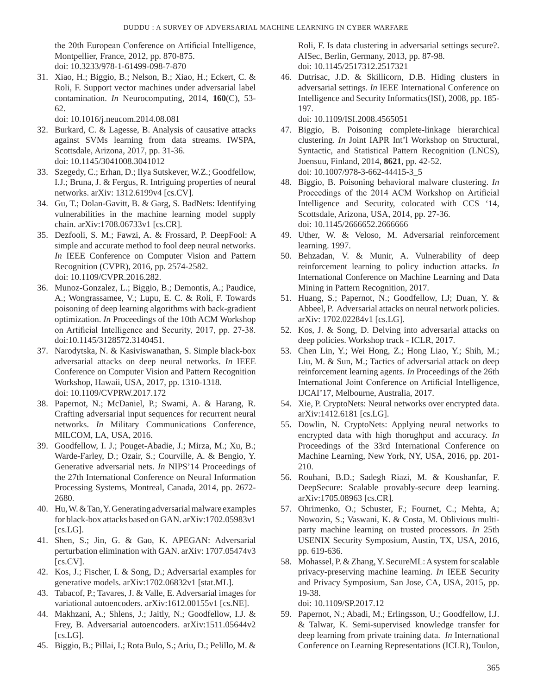the 20th European Conference on Artificial Intelligence, Montpellier, France, 2012, pp. 870-875. doi: 10.3233/978-1-61499-098-7-870

31. Xiao, H.; Biggio, B.; Nelson, B.; Xiao, H.; Eckert, C. & Roli, F. Support vector machines under adversarial label contamination. *In* Neurocomputing, 2014, **160**(C), 53- 62.

doi: 10.1016/j.neucom.2014.08.081

- 32. Burkard, C. & Lagesse, B. Analysis of causative attacks against SVMs learning from data streams. IWSPA, Scottsdale, Arizona, 2017, pp. 31-36. doi: 10.1145/3041008.3041012
- 33. Szegedy, C.; Erhan, D.; Ilya Sutskever, W.Z.; Goodfellow, I.J.; Bruna, J. & Fergus, R. Intriguing properties of neural networks. arXiv: 1312.6199v4 [cs.CV].
- 34. Gu, T.; Dolan-Gavitt, B. & Garg, S. BadNets: Identifying vulnerabilities in the machine learning model supply chain. arXiv:1708.06733v1 [cs.CR].
- 35. Dezfooli, S. M.; Fawzi, A. & Frossard, P. DeepFool: A simple and accurate method to fool deep neural networks. *In* IEEE Conference on Computer Vision and Pattern Recognition (CVPR), 2016, pp. 2574-2582. doi: 10.1109/CVPR.2016.282.
- 36. Munoz-Gonzalez, L.; Biggio, B.; Demontis, A.; Paudice, A.; Wongrassamee, V.; Lupu, E. C. & Roli, F. Towards poisoning of deep learning algorithms with back-gradient optimization. *In* Proceedings of the 10th ACM Workshop on Artificial Intelligence and Security, 2017, pp. 27-38. doi:10.1145/3128572.3140451.
- 37. Narodytska, N. & Kasiviswanathan, S. Simple black-box adversarial attacks on deep neural networks. *In* IEEE Conference on Computer Vision and Pattern Recognition Workshop, Hawaii, USA, 2017, pp. 1310-1318. doi: 10.1109/CVPRW.2017.172
- 38. Papernot, N.; McDaniel, P.; Swami, A. & Harang, R. Crafting adversarial input sequences for recurrent neural networks. *In* Military Communications Conference, MILCOM, LA, USA, 2016.
- 39. Goodfellow, I. J.; Pouget-Abadie, J.; Mirza, M.; Xu, B.; Warde-Farley, D.; Ozair, S.; Courville, A. & Bengio, Y. Generative adversarial nets. *In* NIPS'14 Proceedings of the 27th International Conference on Neural Information Processing Systems, Montreal, Canada, 2014, pp. 2672- 2680.
- 40. Hu, W. & Tan, Y. Generating adversarial malware examples for black-box attacks based on GAN. arXiv:1702.05983v1  $[cs.LG]$ .
- 41. Shen, S.; Jin, G. & Gao, K. APEGAN: Adversarial perturbation elimination with GAN. arXiv: 1707.05474v3  $[cs.CV]$ .
- 42. Kos, J.; Fischer, I. & Song, D.; Adversarial examples for generative models. arXiv:1702.06832v1 [stat.ML].
- 43. Tabacof, P.; Tavares, J. & Valle, E. Adversarial images for variational autoencoders. arXiv:1612.00155v1 [cs.NE].
- 44. Makhzani, A.; Shlens, J.; Jaitly, N.; Goodfellow, I.J. & Frey, B. Adversarial autoencoders. arXiv:1511.05644v2  $[cs.LG]$ .
- 45. Biggio, B.; Pillai, I.; Rota Bulo, S.; Ariu, D.; Pelillo, M. &

Roli, F. Is data clustering in adversarial settings secure?. AISec, Berlin, Germany, 2013, pp. 87-98. doi: 10.1145/2517312.2517321

46. Dutrisac, J.D. & Skillicorn, D.B. Hiding clusters in adversarial settings. *In* IEEE International Conference on Intelligence and Security Informatics(ISI), 2008, pp. 185- 197.

doi: 10.1109/ISI.2008.4565051

- 47. Biggio, B. Poisoning complete-linkage hierarchical clustering. *In* Joint IAPR Int'l Workshop on Structural, Syntactic, and Statistical Pattern Recognition (LNCS), Joensuu, Finland, 2014, **8621**, pp. 42-52. doi: 10.1007/978-3-662-44415-3\_5
- 48. Biggio, B. Poisoning behavioral malware clustering. *In* Proceedings of the 2014 ACM Workshop on Artificial Intelligence and Security, colocated with CCS '14, Scottsdale, Arizona, USA, 2014, pp. 27-36. doi: 10.1145/2666652.2666666
- 49. Uther, W. & Veloso, M. Adversarial reinforcement learning. 1997.
- 50. Behzadan, V. & Munir, A. Vulnerability of deep reinforcement learning to policy induction attacks. *In* International Conference on Machine Learning and Data Mining in Pattern Recognition, 2017.
- 51. Huang, S.; Papernot, N.; Goodfellow, I.J; Duan, Y. & Abbeel, P. Adversarial attacks on neural network policies. arXiv: 1702.02284v1 [cs.LG].
- 52. Kos, J. & Song, D. Delving into adversarial attacks on deep policies. Workshop track - ICLR, 2017.
- 53. Chen Lin, Y.; Wei Hong, Z.; Hong Liao, Y.; Shih, M.; Liu, M. & Sun, M.; Tactics of adversarial attack on deep reinforcement learning agents. *In* Proceedings of the 26th International Joint Conference on Artificial Intelligence, IJCAI'17, Melbourne, Australia, 2017.
- 54. Xie, P. CryptoNets: Neural networks over encrypted data. arXiv:1412.6181 [cs.LG].
- 55. Dowlin, N. CryptoNets: Applying neural networks to encrypted data with high thorughput and accuracy. *In* Proceedings of the 33rd International Conference on Machine Learning, New York, NY, USA, 2016, pp. 201- 210.
- 56. Rouhani, B.D.; Sadegh Riazi, M. & Koushanfar, F. DeepSecure: Scalable provably-secure deep learning. arXiv:1705.08963 [cs.CR].
- 57. Ohrimenko, O.; Schuster, F.; Fournet, C.; Mehta, A; Nowozin, S.; Vaswani, K. & Costa, M. Oblivious multiparty machine learning on trusted processors. *In* 25th USENIX Security Symposium, Austin, TX, USA, 2016, pp. 619-636.
- 58. Mohassel, P. & Zhang, Y. SecureML: A system for scalable privacy-preserving machine learning. *In* IEEE Security and Privacy Symposium, San Jose, CA, USA, 2015, pp. 19-38.

doi: 10.1109/SP.2017.12

59. Papernot, N.; Abadi, M.; Erlingsson, U.; Goodfellow, I.J. & Talwar, K. Semi-supervised knowledge transfer for deep learning from private training data. *In* International Conference on Learning Representations (ICLR), Toulon,